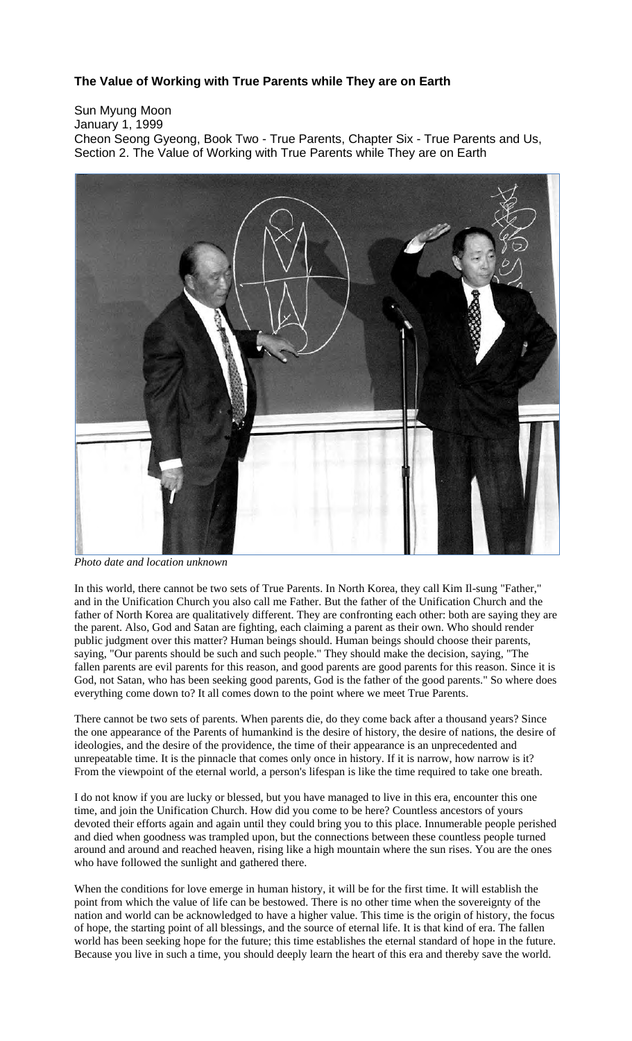## **The Value of Working with True Parents while They are on Earth**

Sun Myung Moon January 1, 1999 Cheon Seong Gyeong, Book Two - True Parents, Chapter Six - True Parents and Us, Section 2. The Value of Working with True Parents while They are on Earth



*Photo date and location unknown*

In this world, there cannot be two sets of True Parents. In North Korea, they call Kim Il-sung "Father," and in the Unification Church you also call me Father. But the father of the Unification Church and the father of North Korea are qualitatively different. They are confronting each other: both are saying they are the parent. Also, God and Satan are fighting, each claiming a parent as their own. Who should render public judgment over this matter? Human beings should. Human beings should choose their parents, saying, "Our parents should be such and such people." They should make the decision, saying, "The fallen parents are evil parents for this reason, and good parents are good parents for this reason. Since it is God, not Satan, who has been seeking good parents, God is the father of the good parents." So where does everything come down to? It all comes down to the point where we meet True Parents.

There cannot be two sets of parents. When parents die, do they come back after a thousand years? Since the one appearance of the Parents of humankind is the desire of history, the desire of nations, the desire of ideologies, and the desire of the providence, the time of their appearance is an unprecedented and unrepeatable time. It is the pinnacle that comes only once in history. If it is narrow, how narrow is it? From the viewpoint of the eternal world, a person's lifespan is like the time required to take one breath.

I do not know if you are lucky or blessed, but you have managed to live in this era, encounter this one time, and join the Unification Church. How did you come to be here? Countless ancestors of yours devoted their efforts again and again until they could bring you to this place. Innumerable people perished and died when goodness was trampled upon, but the connections between these countless people turned around and around and reached heaven, rising like a high mountain where the sun rises. You are the ones who have followed the sunlight and gathered there.

When the conditions for love emerge in human history, it will be for the first time. It will establish the point from which the value of life can be bestowed. There is no other time when the sovereignty of the nation and world can be acknowledged to have a higher value. This time is the origin of history, the focus of hope, the starting point of all blessings, and the source of eternal life. It is that kind of era. The fallen world has been seeking hope for the future; this time establishes the eternal standard of hope in the future. Because you live in such a time, you should deeply learn the heart of this era and thereby save the world.